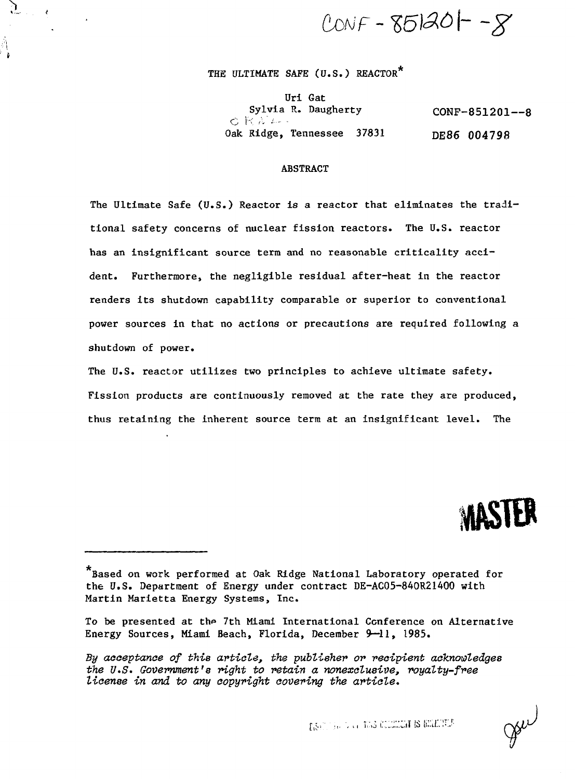$CONF - 85120 - 8$ 

# THE ULTIMATE SAFE (U.S.) REACTOR\*

 $\mathfrak{I}$ 

 $\pmb{\epsilon}$ 

Uri Gat Sylvia R. Daugherty  $C$  $R$  $N$  $L-$ Oak Ridge, Tennessee 37831 CONP-851201—8 DE86 004798

## ABSTRACT

The Ultimate Safe (U.S.) Reactor is a reactor that eliminates the traditional safety concerns of nuclear fission reactors. The U.S. reactor has an insignificant source term and no reasonable criticality accident. Furthermore, the negligible residual after-heat in the reactor renders its shutdown capability comparable or superior to conventional power sources in that no actions or precautions are required following a shutdown of power.

The U.S. reactor utilizes two principles to achieve ultimate safety. Fission products are continuously removed at the rate they are produced, thus retaining the inherent source term at an insignificant level. The



gou

Based on work performed at Oak Ridge National Laboratory operated for the U.S. Department of Energy under contract DE-AC05-840R21400 with Martin Marietta Energy Systems, Inc.

To be presented at the 7th Miami International Conference on Alternative Energy Sources, Miami Beach, Florida, December 9—11, 1985.

By acceptance of this article, the publisher or recipient acknowledges the  $U.S.$  Government's right to retain a nonexclusive, royalty-free license in and to any copyright covering the article.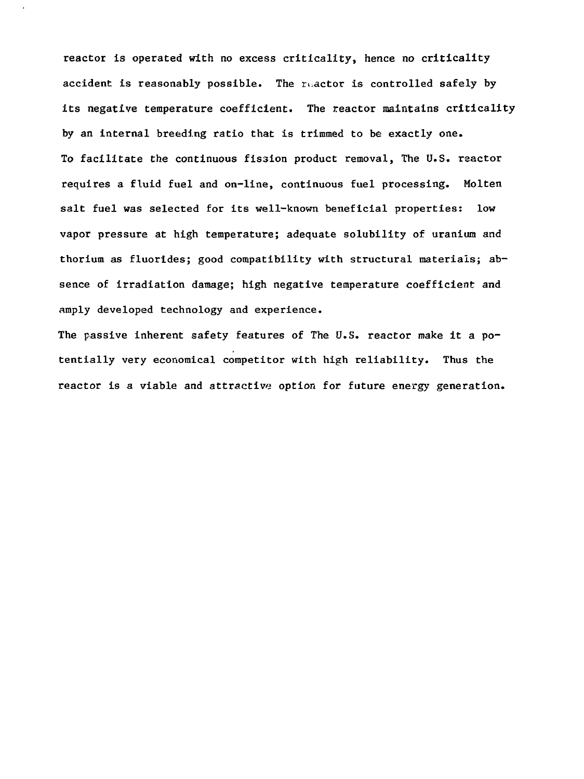reactor is operated with no excess criticality, hence no criticality accident is reasonably possible. The reactor is controlled safely by its negative temperature coefficient. The reactor maintains criticality by an internal breeding ratio that is trimmed to be exactly one. To facilitate the continuous fission product removal, The U.S. reactor requires a fluid fuel and on-line, continuous fuel processing. Molten salt fuel was selected for its well-known beneficial properties: low vapor pressure at high temperature; adequate solubility of uranium and thorium as fluorides; good compatibility with structural materials; absence of irradiation damage; high negative temperature coefficient and amply developed technology and experience.

The passive inherent safety features of The  $0.5$ . reactor make it a potentially very economical competitor with high reliability. Thus the reactor is a viable and attractive option for future energy generation.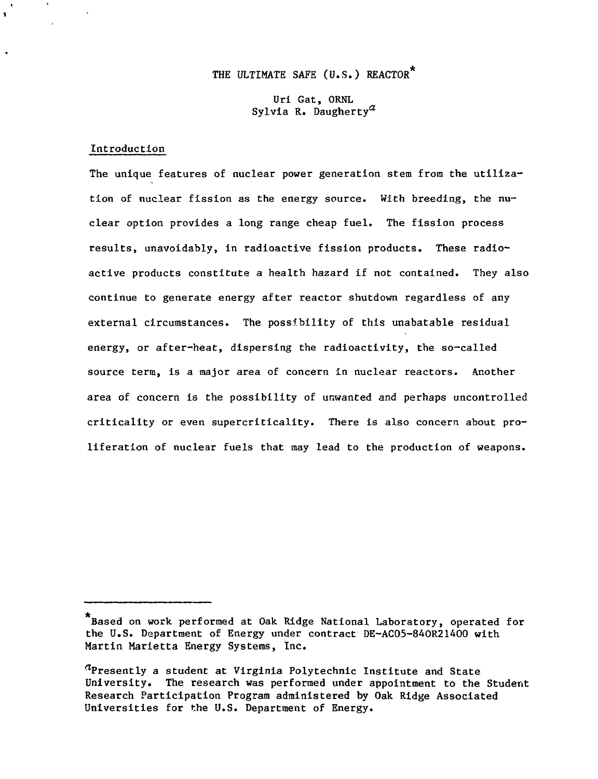# THE ULTIMATE SAFE (U.S.) REACTOR\*

Uri Gat, ORNL Sylvia R. Daugherty<sup> $a$ </sup>

## Introduction

The unique features of nuclear power generation stem from the utilization of nuclear fission as the energy source. With breeding, the nuclear option provides a long range cheap fuel. The fission process results, unavoidably, in radioactive fission products. These radioactive products constitute a health hazard if not contained. They also continue to generate energy after reactor shutdown regardless of any external circumstances. The possibility of this unabatable residual energy, or after-heat, dispersing the radioactivity, the so-called source term, is a major area of concern in nuclear reactors. Another area of concern is the possibility of unwanted and perhaps uncontrolled criticality or even supercriticality. There is also concern about proliferation of nuclear fuels that may lead to the production of weapons.

Based on work performed at Oak Ridge National Laboratory, operated for the U.S. Department of Energy under contract DE-AC05-84OR21400 with Martin Marietta Energy Systems, Inc.

 $a$ Presently a student at Virginia Polytechnic Institute and State University. The research was performed under appointment to the Student Research Participation Program administered by Oak Ridge Associated Universities for the U.S. Department of Energy.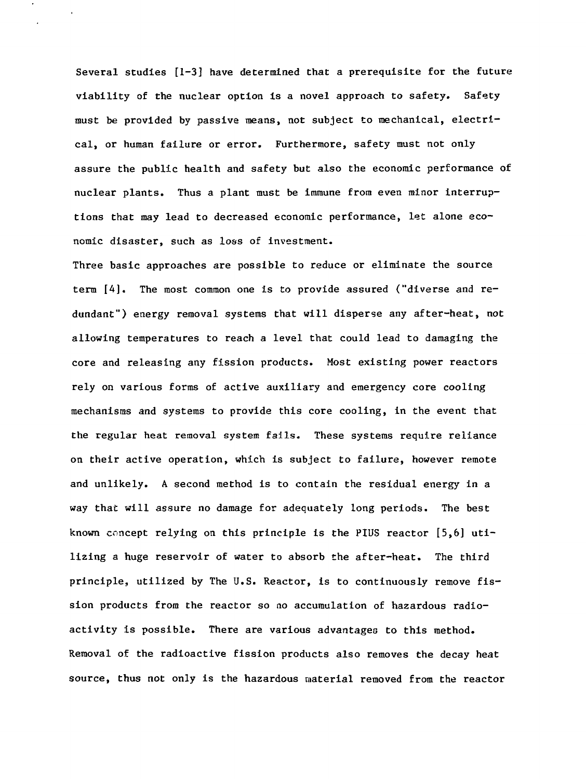Several studies [1-3] have determined that a prerequisite for the future viability of the nuclear option is a novel approach to safety. Safety must be provided by passive means, not subject to mechanical, electrical, or human failure or error. Furthermore, safety must not only assure the public health and safety but also the economic performance of nuclear plants. Thus a plant must be immune from even minor interruptions that may lead to decreased economic performance, let alone economic disaster, such as loss of investment.

Three basic approaches are possible to reduce or eliminate the source term [4], The most common one is to provide assured ("diverse and redundant") energy removal systems that will disperse any after-heat, not allowing temperatures to reach a level that could lead to damaging the core and releasing any fission products. Most existing power reactors rely on various forms of active auxiliary and emergency core cooling mechanisms and systems to provide this core cooling, in the event that the regular heat removal system fails. These systems require reliance on their active operation, which is subject to failure, however remote and unlikely. A second method is to contain the residual energy in a way that will assure no damage for adequately long periods. The best known concept relying on this principle is the PIUS reactor [5,6] utilizing a huge reservoir of water to absorb the after-heat. The third principle, utilized by The U.S. Reactor, is to continuously remove fission products from the reactor so no accumulation of hazardous radioactivity is possible. There are various advantages to this method. Removal of the radioactive fission products also removes the decay heat source, thus not only is the hazardous material removed from the reactor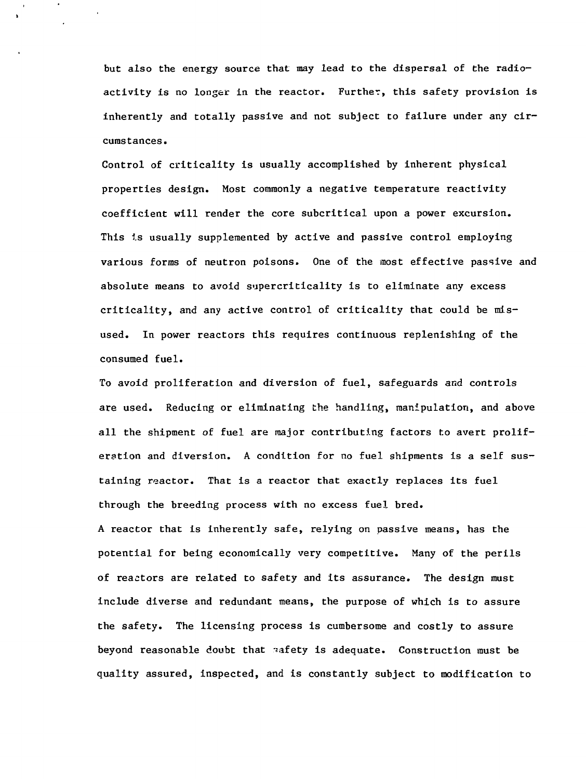but also the energy source that may lead to the dispersal of the radioactivity is no longer in the reactor. Further, this safety provision is inherently and totally passive and not subject to failure under any circumstances.

Control of criticality is usually accomplished by inherent physical properties design. Most commonly a negative temperature reactivity coefficient will render the core subcritical upon a power excursion. This is usually supplemented by active and passive control employing various forms of neutron poisons. One of the most effective passive and absolute means to avoid supercriticality is to eliminate any excess criticality, and any active control of criticality that could be misused. In power reactors this requires continuous replenishing of the consumed fuel.

To avoid proliferation and diversion of fuel, safeguards and controls are used. Reducing or eliminating the handling, manipulation, and above all the shipment of fuel are major contributing factors to avert proliferation and diversion. A condition for no fuel shipments is a self sustaining reactor. That is a reactor that exactly replaces its fuel through the breeding process with no excess fuel bred. A reactor that is inherently safe, relying on passive means, has the potential for being economically very competitive. Many of the perils of reactors are related to safety and its assurance. The design must include diverse and redundant means, the purpose of which is to assure the safety. The licensing process is cumbersome and costly to assure beyond reasonable doubt that safety is adequate. Construction must be quality assured, inspected, and is constantly subject to modification to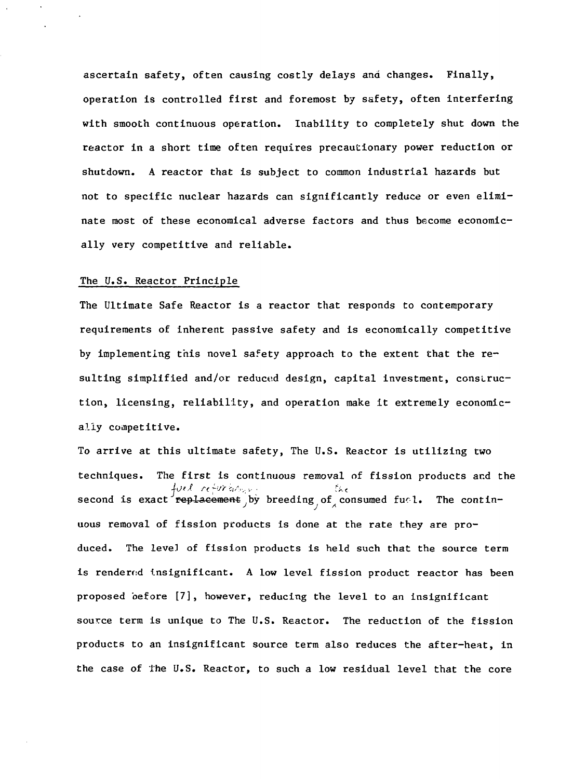ascertain safety, often causing costly delays and changes. Finally, operation is controlled first and foremost by safety, often interfering with smooth continuous operation. Inability to completely shut down the reactor in a short time often requires precautionary power reduction or shutdown. A reactor that is subject to common industrial hazards but not to specific nuclear hazards can significantly reduce or even eliminate most of these economical adverse factors and thus become economically very competitive and reliable.

#### The U.S. Reactor Principle

The Ultimate Safe Reactor is a reactor that responds to contemporary requirements of inherent passive safety and is economically competitive by implementing this novel safety approach to the extent Chat the resulting simplified and/or reduced design, capital investment, construction, licensing, reliability, and operation make it extremely economically competitive.

To arrive at this ultimate safety, The U.S. Reactor is utilizing two techniques. The first is continuous removal of fission products and the filed refursions in the the second is exact rep<del>lacement</del> by breeding of consumed fuel. The contin-J J A  $\mathbf{u}$  removal of fission products is done at the rate theorem at the rate theorem at the rate they are produced.  $\mathbf{f}$  of fission products is held such that the source term that the source term that the source term that the source term that the source term that the source term that the source term that the source term that the so is rendered insignificant. A low level fission product reactor has been proposed before [7], however, reducing the level to an insignificant source term is unique to The U.S. Reactor. The reduction of the fission products to an insignificant source term also reduces the after-heat, in the case of the U.S. Reactor, to such a low residual level that the core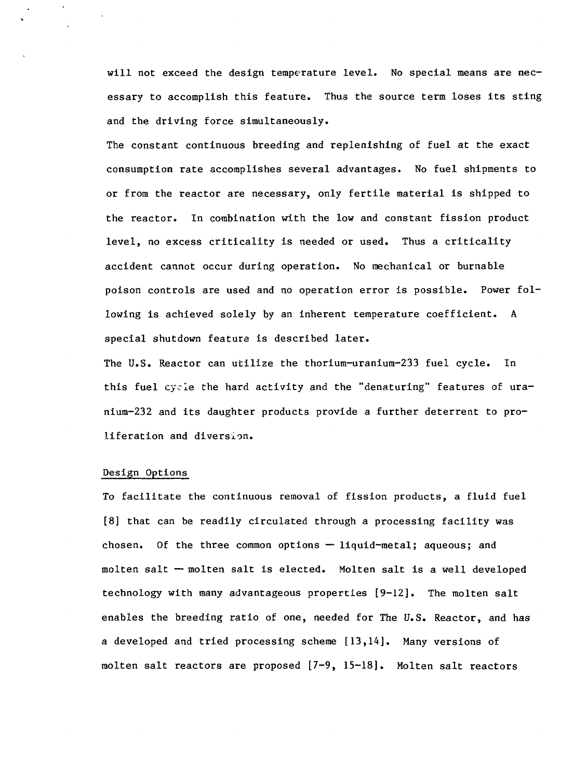will not exceed the design temperature level. No special means are necessary to accomplish this feature. Thus the source term loses its sting and the driving force simultaneously.

The constant continuous breeding and replenishing of fuel at the exact consumption rate accomplishes several advantages. No fuel shipments to or from the reactor are necessary, only fertile material is shipped to the reactor. In combination with the low and constant fission product level, no excess criticality is needed or used. Thus a criticality accident cannot occur during operation. No mechanical or burnable poison controls are used and no operation error is possible. Power following is achieved solely by an inherent temperature coefficient. A special shutdown feature is described later.

The U.S. Reactor can utilize the thorium-uranium-233 fuel cycle. In this fuel cycle the hard activity and the "denaturing" features of uranium-232 and its daughter products provide a further deterrent to proliferation and diversion.

#### Design Options

To facilitate the continuous removal of fission products, a fluid fuel [8] that can be readily circulated through a processing facility was chosen. Of the three common options — liquid-metal; aqueous; and molten salt — molten salt Is elected. Molten salt is a well developed technology with many advantageous properties [9-12]. The molten salt enables the breeding ratio of one, needed for The U.S. Reactor, and has a developed and tried processing scheme [13,14], Many versions of molten salt reactors are proposed [7-9, 15-18], Molten salt reactors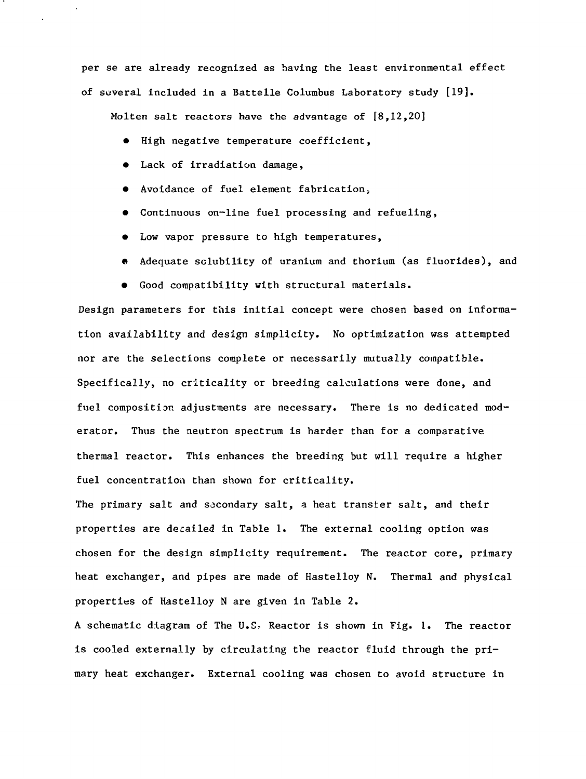per se are already recognised as having the least environmental effect of several included in a Battelle Columbus Laboratory study [19].

Molten salt reactors have the advantage of [8,12,20]

- High negative temperature coefficient,
- Lack of irradiation damage,
- Avoidance of fuel element fabrication,
- Continuous on-line fuel processing and refueling,
- Low vapor pressure to high temperatures,
- Adequate solubility of uranium and thorium (as fluorides), and
- Good compatibility with structural materials.

Design parameters for this initial concept were chosen based on information availability and design simplicity. No optimization was attempted nor are the selections complete or necessarily mutually compatible. Specifically, no criticality or breeding calculations were done, and fuel composition adjustments are necessary. There is no dedicated moderator. Thus the neutron spectrum is harder than for a comparativethermal reactor. This enhances the breeding but will require a higher fuel concentration than shown for criticality.

The primary salt and secondary salt, a heat transfer salt, and their properties are decailed in Table 1. The external cooling option was chosen for the design simplicity requirement. The reactor core, primary heat exchanger, and pipes are made of Hastelloy N. Thermal and physical properties of Hastelloy N are given in Table 2.

A schematic diagram of The U.S. Reactor is shown in Fig. 1. The reactor is cooled externally by circulating the reactor fluid through the primary heat exchanger. External cooling was chosen to avoid structure in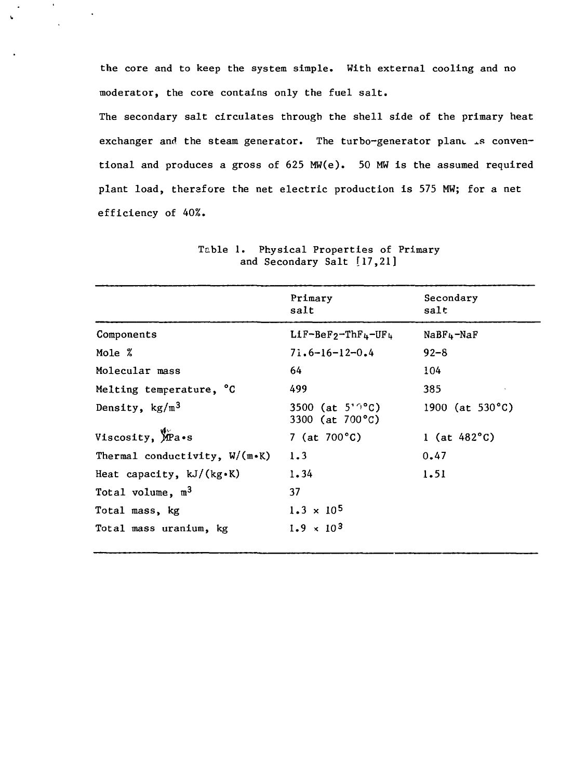the core and to keep the system simple. With external cooling and no moderator, the core contains only the fuel salt.

 $\ddot{\phantom{1}}$ 

The secondary salt circulates through the shell side of the primary heat exchanger and the steam generator. The turbo-generator plane is conventional and produces a gross of 625 MW(e). 50 MW is the assumed required plant load, therefore the net electric production is 575 MW; for a net efficiency of 40%.

|                                  | Primary<br>salt                                   | Secondary<br>salt         |
|----------------------------------|---------------------------------------------------|---------------------------|
| Components                       | $Lif-Befg-ThF4-UF4$                               | $N$ a $Br_4$ -Na $F$      |
| Mole %                           | $71.6 - 16 - 12 - 0.4$                            | $92 - 8$                  |
| Molecular mass                   | 64                                                | 104                       |
| Melting temperature, °C          | 499                                               | 385                       |
| Density, $kg/m3$                 | 3500 (at $5'$ <sup>o</sup> °C)<br>3300 (at 700°C) | 1900 (at $530^{\circ}$ C) |
| Viscosity, MPa.s                 | 7 (at $700^{\circ}$ C)                            | 1 (at $482^{\circ}$ C)    |
| Thermal conductivity, $W/(m*K)$  | 1.3                                               | 0.47                      |
| Heat capacity, $kJ/(kg \cdot K)$ | 1.34                                              | 1.51                      |
| Total volume, $m3$               | 37                                                |                           |
| Total mass, kg                   | $1.3 \times 10^5$                                 |                           |
| Total mass uranium, kg           | $1.9 \times 10^{3}$                               |                           |
|                                  |                                                   |                           |

Table 1. Physical Properties of Primary and Secondary Salt [17,21]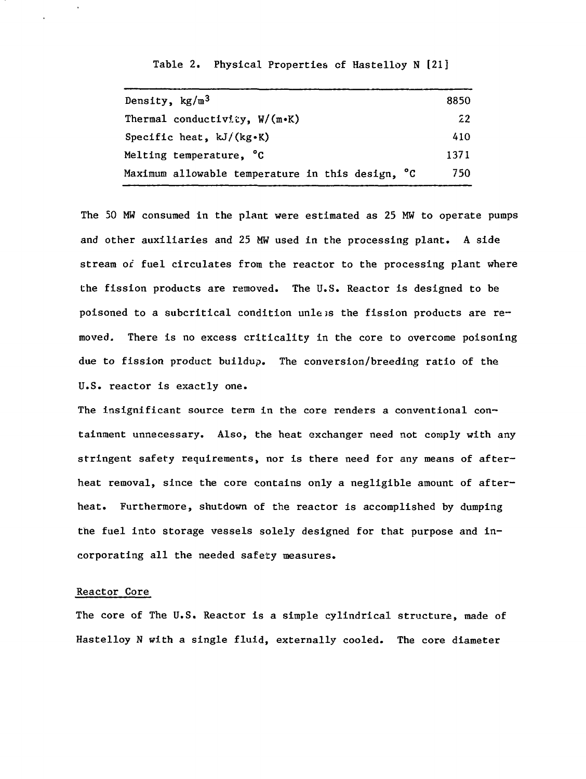Table 2. Physical Properties of Hastelloy N [21]

| Density, $kg/m3$                                 | 8850 |
|--------------------------------------------------|------|
| Thermal conductivity, $W/(m \cdot K)$            | 22   |
| Specific heat, $kJ/(kg-K)$                       | 410  |
| Melting temperature, <sup>°</sup> C              | 1371 |
| Maximum allowable temperature in this design, °C | 750. |

The 50 MW consumed in the plant were estimated as 25 MW to operate pumps and other auxiliaries and 25 MW used in the processing plant. A side stream of fuel circulates from the reactor to the processing plant where the fission products are removed. The U.S. Reactor is designed to be poisoned to a subcritical condition unless the fission products are removed. There is no excess criticality in the core to overcome poisoning due to fission product buildup. The conversion/breeding ratio of the U.S. reactor is exactly one.

The insignificant source term in the core renders a conventional containment unnecessary. Also, the heat exchanger need not comply with any stringent safety requirements, nor is there need for any means of afterheat removal, since the core contains only a negligible amount of afterheat. Furthermore, shutdown of the reactor is accomplished by dumping the fuel into storage vessels solely designed for that purpose and incorporating all the needed safety measures.

## Reactor Core

The core of The U.S. Reactor is a simple cylindrical structure, made of Hastelloy N with a single fluid, externally cooled. The core diameter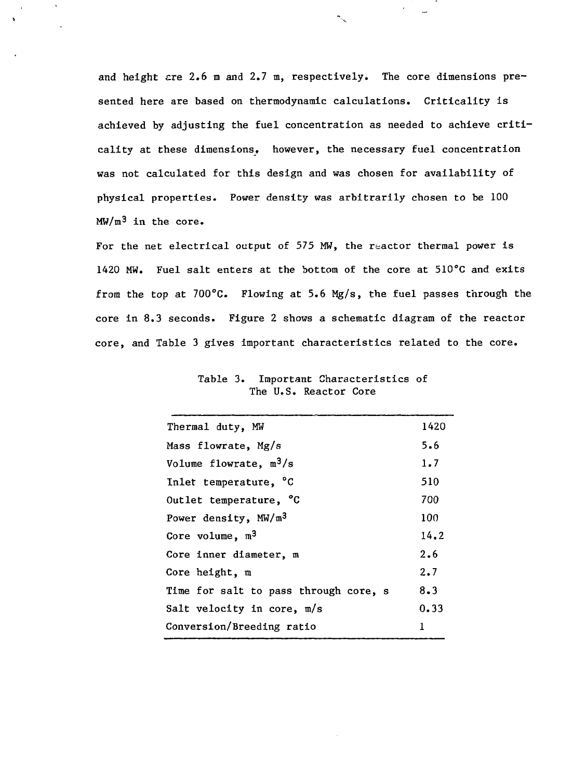and height  $are 2.6$  m and  $2.7$  m, respectively. The core dimensions presented here are based on thermodynamic calculations. Criticality is achieved by adjusting the fuel concentration as needed to achieve criticality at these dimensions, however, the necessary fuel concentration was not calculated for this design and was chosen for availability of physical properties. Power density was arbitrarily chosen to be 100  $MW/m<sup>3</sup>$  in the core.

For the net electrical output of 575 MW, the reactor thermal power is 1420 MW. Fuel salt enters at the bottom of the core at 510°C and exits from the top at  $700^{\circ}$ C. Flowing at 5.6 Mg/s, the fuel passes through the core in 8.3 seconds. Figure 2 shows a schematic diagram of the reactor core, and Table 3 gives important characteristics related to the core.

| Thermal duty, MW                      | 1420 |
|---------------------------------------|------|
| Mass flowrate, Mg/s                   | 5.6  |
| Volume flowrate, $m^3/s$              | 1.7  |
| Inlet temperature, °C                 | 510  |
| Outlet temperature, °C                | 700  |
| Power density, MW/m <sup>3</sup>      | 100  |
| Core volume, $m3$                     | 14.2 |
| Core inner diameter, m                | 2.6  |
| Core height, $m$                      | 2.7  |
| Time for salt to pass through core, s | 8.3  |
| Salt velocity in core, m/s            | 0.33 |
| Conversion/Breeding ratio             |      |

Table 3. Important Characteristics of The U.S. Reactor Core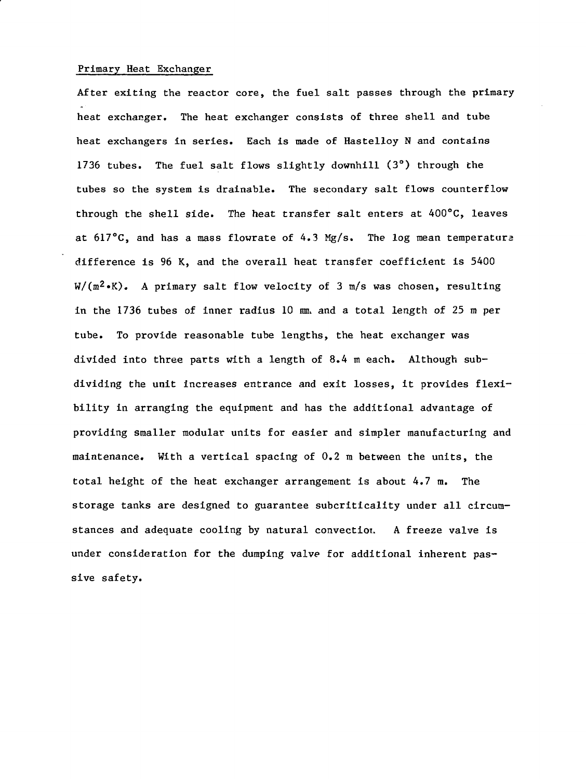#### Primary Heat Exchanger

After exiting the reactor core, the fuel salt passes through the primary heat exchanger. The heat exchanger consists of three shell and tube heat exchangers in series. Each is made of Hastelloy N and contains 1736 tubes. The fuel salt flows slightly downhill (3°) through the tubes so the system is drainable. The secondary salt flows counterflow through the shell side. The heat transfer salt enters at 400°C, leaves at  $617^{\circ}$ C, and has a mass flowrate of 4.3 Mg/s. The log mean temperature difference is 96 K, and the overall heat transfer coefficient is 5400  $W/(m^2 \cdot K)$ . A primary salt flow velocity of 3 m/s was chosen, resulting in the 1736 tubes of inner radius 10  $mm$  and a total length of 25  $m$  per tube. To provide reasonable tube lengths, the heat exchanger was divided into three parts with a length of 8.4 m each. Although subdividing the unit increases entrance and exit losses, it provides flexibility in arranging the equipment and has the additional advantage of providing smaller modular units for easier and simpler manufacturing and maintenance. With a vertical spacing of 0.2 m between the units, the total height of the heat exchanger arrangement is about 4.7 m. The storage tanks are designed to guarantee subcriticality under all circumstances and adequate cooling by natural convection. A freeze valve is under consideration for the dumping valve for additional inherent passive safety.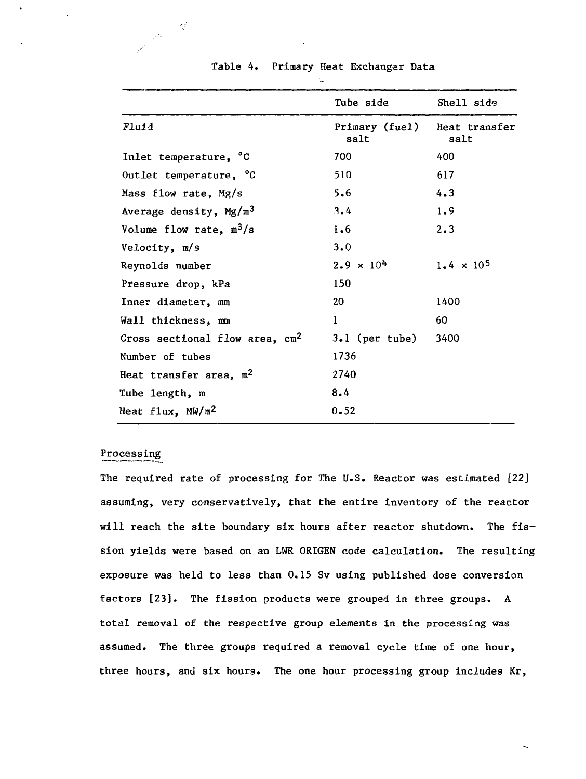|                                  | Tube side              | Shell side            |
|----------------------------------|------------------------|-----------------------|
| Fluid                            | Primary (fuel)<br>salt | Heat transfer<br>salt |
| Inlet temperature, °C            | 700                    | 400                   |
| Outlet temperature, °C           | 510                    | 617                   |
| Mass flow rate, Mg/s             | 5.6                    | 4.3                   |
| Average density, $Mg/m^3$        | 3.4                    | 1.9                   |
| Volume flow rate, $m^3/s$        | i.6                    | 2.3                   |
| Velocity, m/s                    | 3.0                    |                       |
| Reynolds number                  | $2.9 \times 10^{4}$    | $1.4 \times 10^5$     |
| Pressure drop, kPa               | 150                    |                       |
| Inner diameter, mm               | 20                     | 1400                  |
| Wall thickness, mm               | 1                      | 60                    |
| Cross sectional flow area, $cm2$ | $3.1$ (per tube)       | 3400                  |
| Number of tubes                  | 1736                   |                       |
| Heat transfer area, $m^2$        | 2740                   |                       |
| Tube length, m                   | 8.4                    |                       |
| Heat flux, $MW/m^2$              | 0.52                   |                       |

## Table 4. Primary Heat Exchanger Data

## Processing

 $\lambda_{\rm s}^{\rm th}$ 

 $\frac{1}{2} \Delta \phi$ 

The required rate of processing for The U.S. Reactor was estimated [22] assuming, very conservatively, that the entire inventory of the reactor will reach the site boundary six hours after reactor shutdown. The fission yields were based on an LWR ORIGEN code calculation. The resulting exposure was held to less than 0.15 Sv using published dose conversion factors [23]. The fission products were grouped in three groups. A total removal of the respective group elements in the processing was assumed. The three groups required a removal cycle time of one hour, three hours, and six hours. The one hour processing group includes Kr,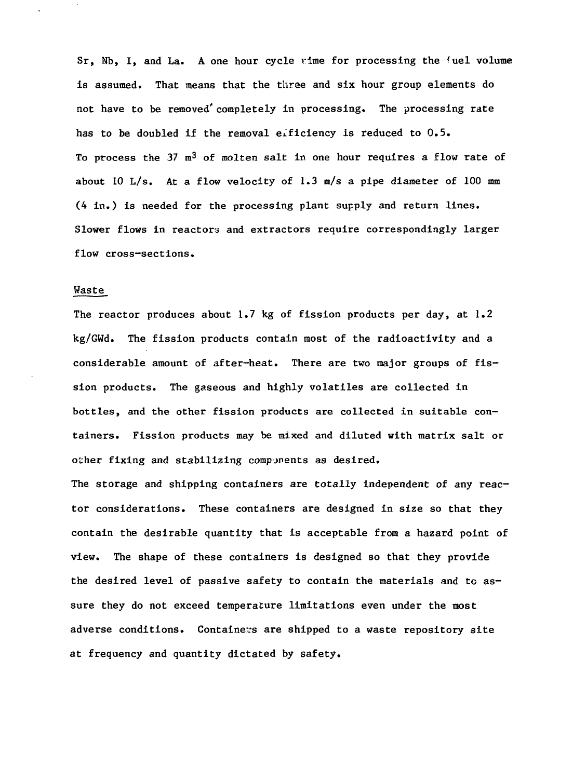$Sr.$  Nb. I. and La. A one hour cycle time for processing the 'uel volume is assumed. That means that the three and six hour group elements do not have to be removed' completely in processing. The processing rate has to be doubled if the removal efficiency is reduced to 0.5. To process the 37  $m^3$  of molten salt in one hour requires a flow rate of about 10 L/s. At a flow velocity of 1.3 m/s a pipe diameter of 100 mm (4 in.) is needed for the processing plant supply and return lines. Slower flows in reactors and extractors require correspondingly larger flow cross-sections.

#### Waste

The reactor produces about 1.7 kg of fission products per day, at  $1.2$ kg/GWd. The fission products contain most of the radioactivity and a considerable amount of after-heat. There are two major groups of fission products. The gaseous and highly volatiles are collected in bottles, and the other fission products are collected in suitable containers. Fission products may be mixed and diluted with matrix salt or other fixing and stabilizing components as desired.

The storage and shipping containers are totally independent of any reactor considerations. These containers are designed in size so that they contain the desirable quantity that is acceptable from a hazard point of view. The shape of these containers is designed so that they provide the desired level of passive safety to contain the materials and to assure they do not exceed temperature limitations even under the most adverse conditions. Containers are shipped to a waste repository site at frequency and quantity dictated by safety.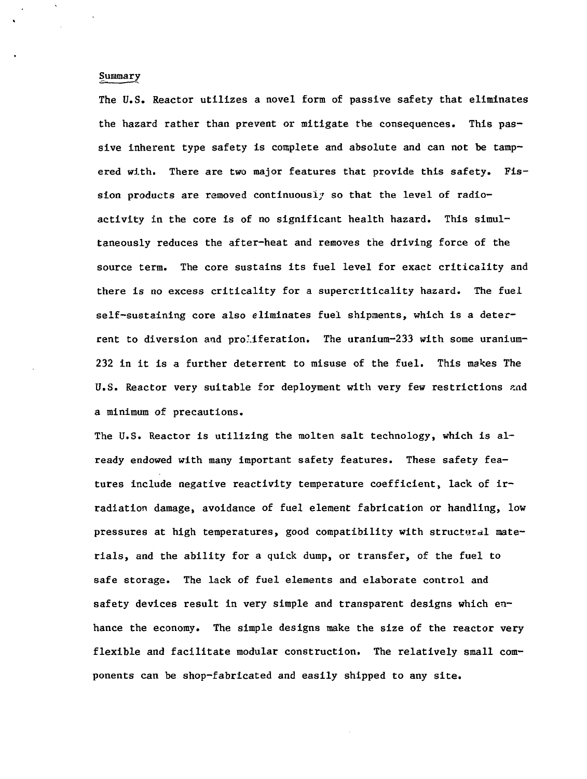## Summary

The U.S. Reactor utilizes a novel form of passive safety that eliminates the hazard rather than prevent or mitigate the consequences. This passive inherent type safety is complete and absolute and can not be tampered with. There are two major features that provide this safety. Fission products are removed continuously so that the level of radioactivity in the core is of no significant health hazard. This simultaneously reduces the after-heat and removes the driving force of the source term. The core sustains its fuel level for exact criticality and there is no excess criticality for a supercriticallty hazard. The fuel self-sustaining core also eliminates fuel shipments, which is a deterrent to diversion and proliferation. The uranium-233 with some uranium-232 in it is a further deterrent to misuse of the fuel. This makes The U.S. Reactor very suitable for deployment with very few restrictions and a minimum of precautions.

The U.S. Reactor is utilizing the molten salt technology, which is already endowed with many important safety features. These safety features include negative reactivity temperature coefficient, lack of irradiation damage, avoidance of fuel element fabrication or handling, low pressures at high temperatures, good compatibility with structural materials, and the ability for a quick dump, or transfer, of the fuel to safe storage. The lack of fuel elements and elaborate control and safety devices result in very simple and transparent designs which enhance the economy. The simple designs make the size of the reactor very flexible and facilitate modular construction. The relatively small components can be shop-fabricated and easily shipped to any site.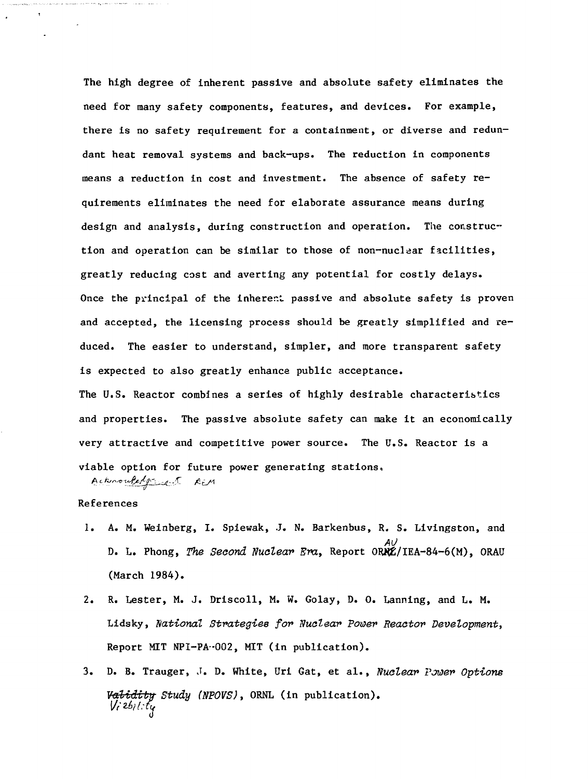The high degree of inherent passive and absolute safety eliminates the need for many safety components, features, and devices. For example, there is no safety requirement for a containment, or diverse and redundant heat removal systems and back-ups. The reduction in components means a reduction in cost and investment. The absence of safety requirements eliminates the need for elaborate assurance means during design and analysis, during construction and operation. The construction and operation can be similar to those of non-nuclear facilities, greatly reducing cost and averting any potential for costly delays. Once the principal of the inherent passive and absolute safety is proven and accepted, the licensing process should be greatly simplified and reduced. The easier to understand, simpler, and more transparent safety is expected to also greatly enhance public acceptance.

The U.S. Reactor combines a series of highly desirable characteristics and properties. The passive absolute safety can make it an economically very attractive and competitive power source. The U.S. Reactor is a viable option for future power generating stations. Acknowledgement REM

## References

 $\mathbf t$ 

- 1. A. M. Weinberg, I. Spiewak, J. N. Barkenbus, R. S. Livingston, and D. L. Phong, The Second Nuclear Era, Report 0RHZ/IEA-84-6(M), ORAU (March 1984).
- 2. R. Lester, M. J. Driscoll, M. W. Golay, D. 0. Lanning, and L. M. Lidsky, national Strategies fov Nuclear Power Reactor Development, Report MIT NP1-PA-002, MIT (in publication).
- 3. D. B. Trauger, J. D. White, Uri Gat, et al., Nuclear Power Options Validity Study (NPOVS), ORNL (in publication).<br>Vi<sup>26</sup>ility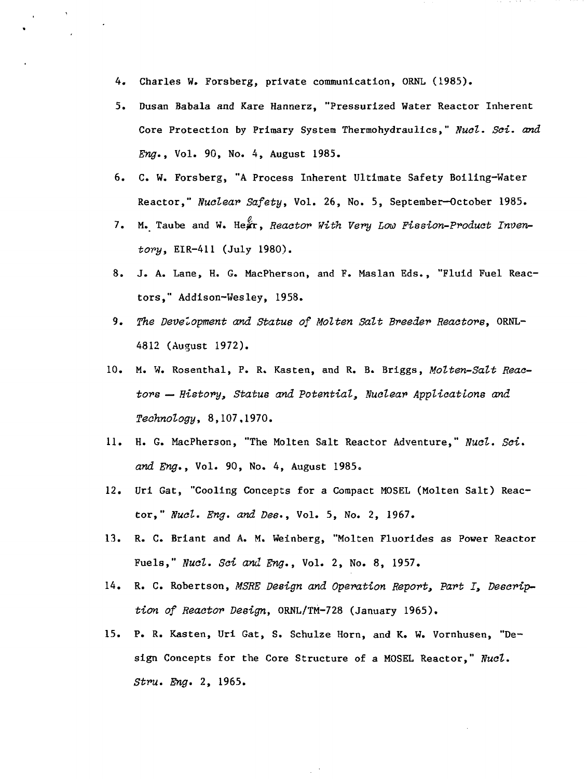- 4. Charles W. Forsberg, private communication, ORNL (1985).
- 5. Dusan Babala and Kare Hannerz, "Pressurized Water Reactor Inherent Core Protection by Primary System Thermohydraulics," Nucl. Sci. and Eng., Vol. 90, No. 4, August 1985.
- 6. C. W. Forsberg, "A Process Inherent Ultimate Safety Boiling-Water Reactor," Nuclear Safety, Vol. 26, No. 5, September-October 1985.
- 7. M. Taube and W. Hear, Reactor With Very Low Fission-Product Inventory, EIR-411 (July 1980).
- 8. J. A. Lane, H. G. MacPherson, and F. Maslan Eds., "Fluid Fuel Reactors," Addison-Wesley, 1958.
- 9. The Development and Statue of Molten Salt Breeder Reactors, ORNL-4812 (August 1972).
- 10. M. W. Rosenthal, P. R. Kasten, and R. B. Briggs, Molten-Salt Reactors — History, Status and Potential, Nuclear Applications and Technology, 8,107,1970.
- 11. H. G. MacPherson, "The Molten Salt Reactor Adventure," Nucl. Sci. and Eng., Vol. 90, No. 4, August 1985.
- 12. Uri Gat, "Cooling Concepts for a Compact M0SEL (Molten Salt) Reactor," Nucl. Eng. and Des., Vol. 5, No. 2, 1967.
- 13. R. C. Briant and A. M. Weinberg, "Molten Fluorides as Power Reactor Fuels," Nucl. Sci and Eng., Vol. 2, No. 8, 1957.
- 14. R. C. Robertson, MSRE Design and Operation Report, Part I, Description of Reactor Design, ORNL/TM-728 (January 1965).
- 15. P. R. Kasten, Uri Gat, S. Schulze Horn, and K. W. Vornhusen, "Design Concepts for the Core Structure of a MOSEL Reactor," Nucl. Stru. Eng. 2, 1965.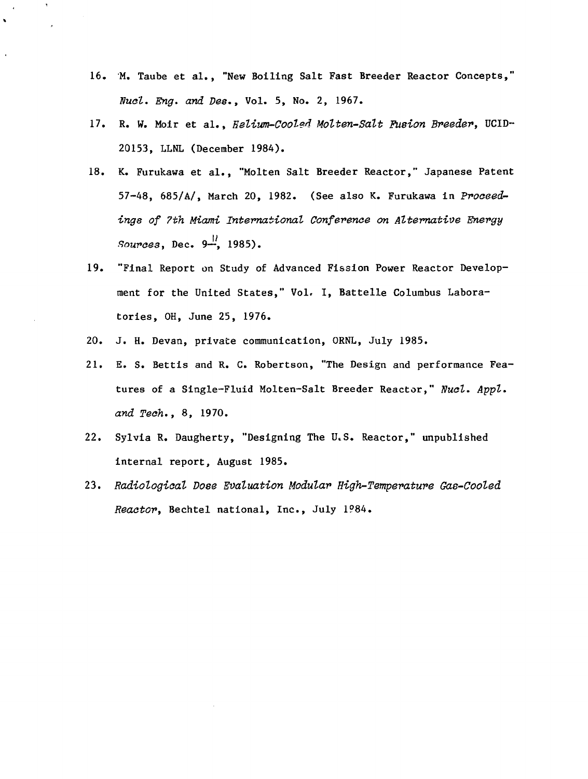- 16. M. Taube et al., "New Boiling Salt Fast Breeder Reactor Concepts," Nuel. Eng. and Dee., Vol. 5, No. 2, 1967.
- 17. R. W. Moir et al., Helium-Cooled Molten-Salt Fusion Breeder, UCID-- 20153, LLNL (December 1984).
- 18. K. Furukawa et al., "Molten Salt Breeder Reactor," Japanese Patent 57-48, 685/A/, March 20, 1982. (See also K. Furukawa in Proceedings of 7th Miami International Conference on Alternative Energy Sources, Dec.  $9\frac{11}{12}$ , 1985).
- 19. "Final Report on Study of Advanced Fission Power Reactor Development for the United States," Vol. I, Battelle Columbus Laboratories, OH, June 25, 1976.
- 20. J. H. Devan, private communication, ORNL, July 1985.
- 21. E. S. Bettis and R. C. Robertson, "The Design and performance Features of a Single-Fluid Molten-Salt Breeder Reactor," Nucl. Appl. and Tech., 8, 1970.
- 22. Sylvia R. Daugherty, "Designing The U.S. Reactor," unpublished internal report, August 1985.
- 23. Radiological Dose Evaluation Modular High-Temperature Gas-Cooled Reactor, Bechtel national, Inc., July 1984.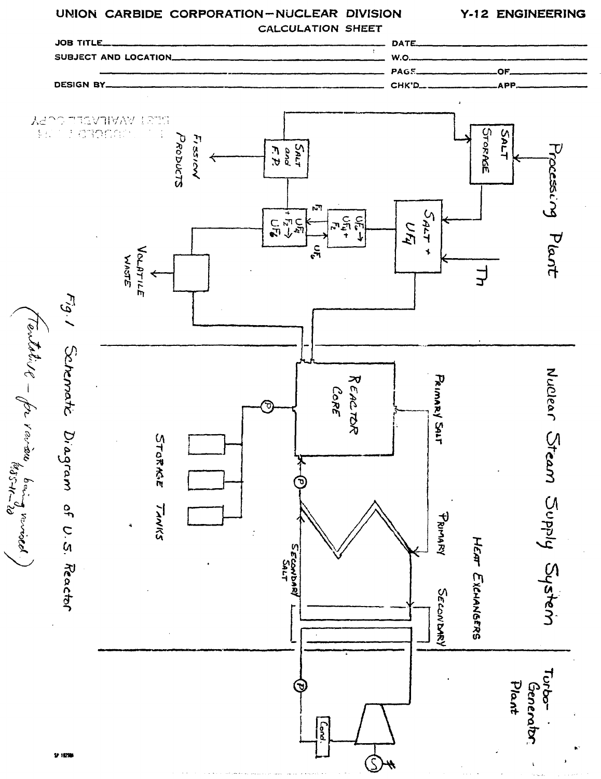# **UNION CARBIDE CORPORATION-NUCLEAR DIVISION**

**Y-12 ENGINEERING**